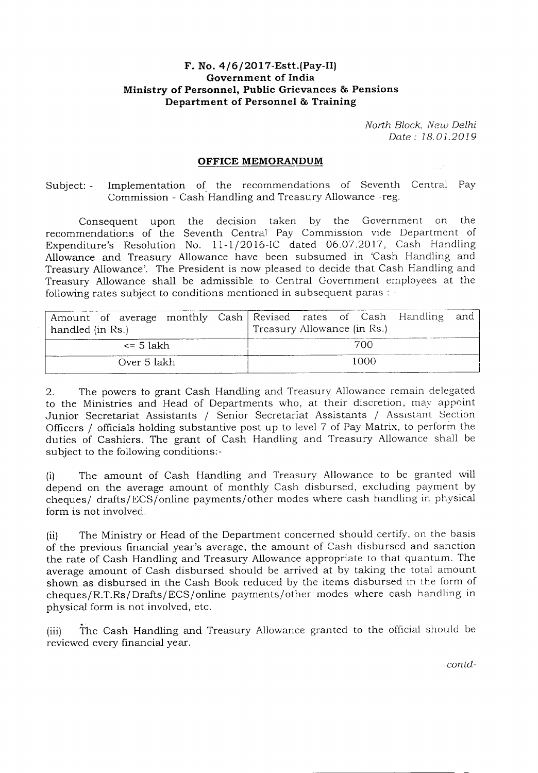## **F. No. 4/6/2017-Estt.(Pay-II) Government of India Ministry of Personnel, Public Grievances & Pensions Department of Personnel** & **Training**

*North Block, New Delhi Date: 18.01.2019* 

## **OFFICE MEMORANDUM**

Subject: - Implementation of the recommendations of Seventh Central Pay Commission - Cash Handling and Treasury Allowance -reg.

Consequent upon the decision taken by the Government on the recommendations of the Seventh Central Pay Commission vide Department of Expenditure's Resolution No. 11-1/2016-IC dated 06.07.2017, Cash Handling Allowance and Treasury Allowance have been subsumed in 'Cash Handling and Treasury Allowance'. The President is now pleased to decide that Cash Handling and Treasury Allowance shall be admissible to Central Government employees at the following rates subject to conditions mentioned in subsequent paras: -

| handled (in Rs.) | Amount of average monthly Cash Revised rates of Cash Handling and<br>Treasury Allowance (in Rs.) |
|------------------|--------------------------------------------------------------------------------------------------|
| <= 5 lakh        | 700                                                                                              |
| Over 5 lakh      | 1000                                                                                             |

2. The powers to grant Cash Handling and Treasury Allowance remain delegated to the Ministries and Head of Departments who, at their discretion, may appoint Junior Secretariat Assistants / Senior Secretariat Assistants / Assistant Section Officers / officials holding substantive post up to level 7 of Pay Matrix, to perform the duties of Cashiers. The grant of Cash Handling and Treasury Allowance shall be subject to the following conditions:-

(i) The amount of Cash Handling and Treasury Allowance to be granted will depend on the average amount of monthly Cash disbursed, excluding payment by cheques/ drafts/ECS/online payments/other modes where cash handling in physical form is not involved.

(ii) The Ministry or Head of the Department concerned should certify, on the basis of the previous financial year's average, the amount of Cash disbursed and sanction the rate of Cash Handling and Treasury Allowance appropriate to that quantum. The average amount of Cash disbursed should be arrived at by taking the total amount shown as disbursed in the Cash Book reduced by the items disbursed in the form of cheques/R.T.Rs/Drafts/ECS/online payments/other modes where cash handling in physical form is not involved, etc.

(iii) The Cash Handling and Treasury Allowance granted to the official should be reviewed every financial year.

*-con.td-*